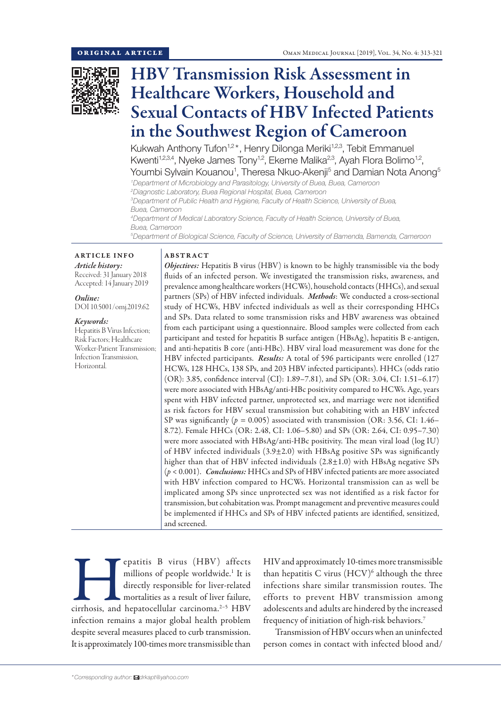

# HBV Transmission Risk Assessment in Healthcare Workers, Household and Sexual Contacts of HBV Infected Patients in the Southwest Region of Cameroon

Kukwah Anthony Tufon<sup>1,2\*</sup>, Henry Dilonga Meriki<sup>1,2,3</sup>, Tebit Emmanuel Kwenti<sup>1,2,3,4</sup>, Nyeke James Tony<sup>1,2</sup>, Ekeme Malika<sup>2,3</sup>, Ayah Flora Bolimo<sup>1,2</sup>, Youmbi Sylvain Kouanou<sup>1</sup>, Theresa Nkuo-Akenji<sup>5</sup> and Damian Nota Anong<sup>5</sup>

*1 Department of Microbiology and Parasitology, University of Buea, Buea, Cameroon 2 Diagnostic Laboratory, Buea Regional Hospital, Buea, Cameroon*

*3 Department of Public Health and Hygiene, Faculty of Health Science, University of Buea, Buea, Cameroon*

*4 Department of Medical Laboratory Science, Faculty of Health Science, University of Buea, Buea, Cameroon*

*5 Department of Biological Science, Faculty of Science, University of Bamenda, Bamenda, Cameroon*

# ARTICLE INFO *Article history:* Received: 31 January 2018

Accepted: 14 January 2019

*Online:* DOI 10.5001/omj.2019.62

## *Keywords:*

Hepatitis B Virus Infection; Risk Factors; Healthcare Worker-Patient Transmission; Infection Transmission, Horizontal.

## ABSTRACT

*Objectives:* Hepatitis B virus (HBV) is known to be highly transmissible via the body fluids of an infected person. We investigated the transmission risks, awareness, and prevalence among healthcare workers (HCWs), household contacts (HHCs), and sexual partners (SPs) of HBV infected individuals. *Methods*: We conducted a cross-sectional study of HCWs, HBV infected individuals as well as their corresponding HHCs and SPs. Data related to some transmission risks and HBV awareness was obtained from each participant using a questionnaire. Blood samples were collected from each participant and tested for hepatitis B surface antigen (HBsAg), hepatitis B e-antigen, and anti-hepatitis B core (anti-HBc). HBV viral load measurement was done for the HBV infected participants. *Results:* A total of 596 participants were enrolled (127 HCWs, 128 HHCs, 138 SPs, and 203 HBV infected participants). HHCs (odds ratio (OR): 3.85, confidence interval (CI): 1.89–7.81), and SPs (OR: 3.04, CI: 1.51–6.17) were more associated with HBsAg/anti-HBc positivity compared to HCWs. Age, years spent with HBV infected partner, unprotected sex, and marriage were not identified as risk factors for HBV sexual transmission but cohabiting with an HBV infected SP was significantly (*p =* 0.005) associated with transmission (OR: 3.56, CI: 1.46– 8.72). Female HHCs (OR: 2.48, CI: 1.06–5.80) and SPs (OR: 2.64, CI: 0.95–7.30) were more associated with HBsAg/anti-HBc positivity. The mean viral load (log IU) of HBV infected individuals (3.9±2.0) with HBsAg positive SPs was significantly higher than that of HBV infected individuals (2.8±1.0) with HBsAg negative SPs (*p* < 0.001). *Conclusions:* HHCs and SPs of HBV infected patients are more associated with HBV infection compared to HCWs. Horizontal transmission can as well be implicated among SPs since unprotected sex was not identified as a risk factor for transmission, but cohabitation was. Prompt management and preventive measures could be implemented if HHCs and SPs of HBV infected patients are identified, sensitized, and screened.

**Example 18 virus** (HBV) affects millions of people worldwide.<sup>1</sup> It is directly responsible for liver-related mortalities as a result of liver failure, cirrhosis, and hepatocellular carcinoma.<sup>2–5</sup> HBV millions of people worldwide.<sup>1</sup> It is directly responsible for liver-related mortalities as a result of liver failure, infection remains a major global health problem despite several measures placed to curb transmission. It is approximately 100-times more transmissible than

HIV and approximately 10-times more transmissible than hepatitis C virus  $(HCV)^6$  although the three infections share similar transmission routes. The efforts to prevent HBV transmission among adolescents and adults are hindered by the increased frequency of initiation of high-risk behaviors.7

Transmission of HBV occurs when an uninfected person comes in contact with infected blood and/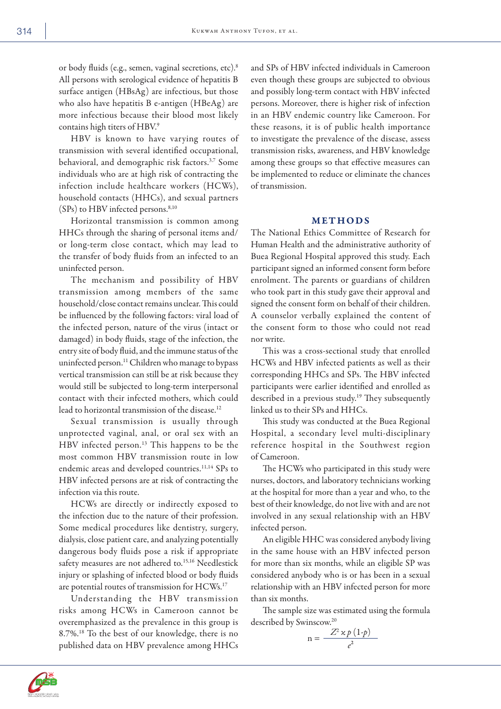or body fluids (e.g., semen, vaginal secretions, etc).8 All persons with serological evidence of hepatitis B surface antigen (HBsAg) are infectious, but those who also have hepatitis B e-antigen (HBeAg) are more infectious because their blood most likely contains high titers of HBV.9

HBV is known to have varying routes of transmission with several identified occupational, behavioral, and demographic risk factors.3,7 Some individuals who are at high risk of contracting the infection include healthcare workers (HCWs), household contacts (HHCs), and sexual partners (SPs) to HBV infected persons.<sup>8,10</sup>

Horizontal transmission is common among HHCs through the sharing of personal items and/ or long-term close contact, which may lead to the transfer of body fluids from an infected to an uninfected person.

The mechanism and possibility of HBV transmission among members of the same household/close contact remains unclear. This could be influenced by the following factors: viral load of the infected person, nature of the virus (intact or damaged) in body fluids, stage of the infection, the entry site of body fluid, and the immune status of the uninfected person.<sup>11</sup> Children who manage to bypass vertical transmission can still be at risk because they would still be subjected to long-term interpersonal contact with their infected mothers, which could lead to horizontal transmission of the disease.<sup>12</sup>

Sexual transmission is usually through unprotected vaginal, anal, or oral sex with an HBV infected person.<sup>13</sup> This happens to be the most common HBV transmission route in low endemic areas and developed countries.<sup>11,14</sup> SPs to HBV infected persons are at risk of contracting the infection via this route.

HCWs are directly or indirectly exposed to the infection due to the nature of their profession. Some medical procedures like dentistry, surgery, dialysis, close patient care, and analyzing potentially dangerous body fluids pose a risk if appropriate safety measures are not adhered to.<sup>15,16</sup> Needlestick injury or splashing of infected blood or body fluids are potential routes of transmission for HCWs.17

Understanding the HBV transmission risks among HCWs in Cameroon cannot be overemphasized as the prevalence in this group is 8.7%.18 To the best of our knowledge, there is no published data on HBV prevalence among HHCs

and SPs of HBV infected individuals in Cameroon even though these groups are subjected to obvious and possibly long-term contact with HBV infected persons. Moreover, there is higher risk of infection in an HBV endemic country like Cameroon. For these reasons, it is of public health importance to investigate the prevalence of the disease, assess transmission risks, awareness, and HBV knowledge among these groups so that effective measures can be implemented to reduce or eliminate the chances of transmission.

## METHODS

The National Ethics Committee of Research for Human Health and the administrative authority of Buea Regional Hospital approved this study. Each participant signed an informed consent form before enrolment. The parents or guardians of children who took part in this study gave their approval and signed the consent form on behalf of their children. A counselor verbally explained the content of the consent form to those who could not read nor write.

This was a cross-sectional study that enrolled HCWs and HBV infected patients as well as their corresponding HHCs and SPs. The HBV infected participants were earlier identified and enrolled as described in a previous study.19 They subsequently linked us to their SPs and HHCs.

This study was conducted at the Buea Regional Hospital, a secondary level multi-disciplinary reference hospital in the Southwest region of Cameroon.

The HCWs who participated in this study were nurses, doctors, and laboratory technicians working at the hospital for more than a year and who, to the best of their knowledge, do not live with and are not involved in any sexual relationship with an HBV infected person.

An eligible HHC was considered anybody living in the same house with an HBV infected person for more than six months, while an eligible SP was considered anybody who is or has been in a sexual relationship with an HBV infected person for more than six months.

The sample size was estimated using the formula described by Swinscow.<sup>20</sup>

$$
n = \frac{Z^2 \times p(1-p)}{e^2}
$$

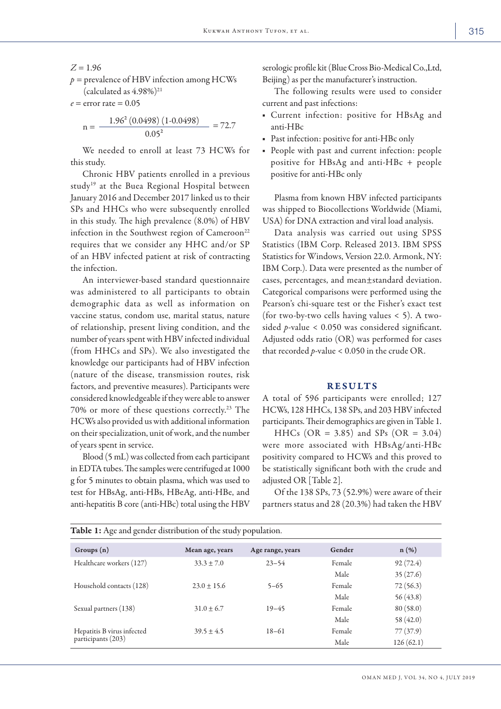### $Z = 1.96$

*p =* prevalence of HBV infection among HCWs (calculated as  $4.98\%$ )<sup>21</sup>

$$
e =
$$
error rate = 0.05

$$
n = \frac{1.96^2 (0.0498) (1 - 0.0498)}{0.05^2} = 72.7
$$

We needed to enroll at least 73 HCWs for this study.

Chronic HBV patients enrolled in a previous study<sup>19</sup> at the Buea Regional Hospital between January 2016 and December 2017 linked us to their SPs and HHCs who were subsequently enrolled in this study. The high prevalence (8.0%) of HBV infection in the Southwest region of Cameroon<sup>22</sup> requires that we consider any HHC and/or SP of an HBV infected patient at risk of contracting the infection.

An interviewer-based standard questionnaire was administered to all participants to obtain demographic data as well as information on vaccine status, condom use, marital status, nature of relationship, present living condition, and the number of years spent with HBV infected individual (from HHCs and SPs). We also investigated the knowledge our participants had of HBV infection (nature of the disease, transmission routes, risk factors, and preventive measures). Participants were considered knowledgeable if they were able to answer 70% or more of these questions correctly.23 The HCWs also provided us with additional information on their specialization, unit of work, and the number of years spent in service.

Blood (5 mL) was collected from each participant in EDTA tubes. The samples were centrifuged at 1000 g for 5 minutes to obtain plasma, which was used to test for HBsAg, anti-HBs, HBeAg, anti-HBe, and anti-hepatitis B core (anti-HBc) total using the HBV serologic profile kit (Blue Cross Bio-Medical Co.,Ltd, Beijing) as per the manufacturer's instruction.

The following results were used to consider current and past infections:

- Current infection: positive for HBsAg and anti-HBc
- Past infection: positive for anti-HBc only
- People with past and current infection: people positive for HBsAg and anti-HBc + people positive for anti-HBc only

Plasma from known HBV infected participants was shipped to Biocollections Worldwide (Miami, USA) for DNA extraction and viral load analysis.

Data analysis was carried out using SPSS Statistics (IBM Corp. Released 2013. IBM SPSS Statistics for Windows, Version 22.0. Armonk, NY: IBM Corp.). Data were presented as the number of cases, percentages, and mean±standard deviation. Categorical comparisons were performed using the Pearson's chi-square test or the Fisher's exact test (for two-by-two cells having values < 5). A twosided *p*-value < 0.050 was considered significant. Adjusted odds ratio (OR) was performed for cases that recorded *p*-value < 0.050 in the crude OR.

### **RESULTS**

A total of 596 participants were enrolled; 127 HCWs, 128 HHCs, 138 SPs, and 203 HBV infected participants. Their demographics are given in Table 1.

HHCs (OR = 3.85) and SPs (OR = 3.04) were more associated with HBsAg/anti-HBc positivity compared to HCWs and this proved to be statistically significant both with the crude and adjusted OR [Table 2].

Of the 138 SPs, 73 (52.9%) were aware of their partners status and 28 (20.3%) had taken the HBV

| Groups(n)                  | Mean age, years | Age range, years | Gender | $n(\%)$   |
|----------------------------|-----------------|------------------|--------|-----------|
| Healthcare workers (127)   | $33.3 \pm 7.0$  | $23 - 54$        | Female | 92(72.4)  |
|                            |                 |                  | Male   | 35(27.6)  |
| Household contacts (128)   | $23.0 \pm 15.6$ | $5 - 65$         | Female | 72(56.3)  |
|                            |                 |                  | Male   | 56(43.8)  |
| Sexual partners (138)      | $31.0 \pm 6.7$  | $19 - 45$        | Female | 80(58.0)  |
|                            |                 |                  | Male   | 58 (42.0) |
| Hepatitis B virus infected | $39.5 \pm 4.5$  | $18 - 61$        | Female | 77(37.9)  |
| participants (203)         |                 |                  | Male   | 126(62.1) |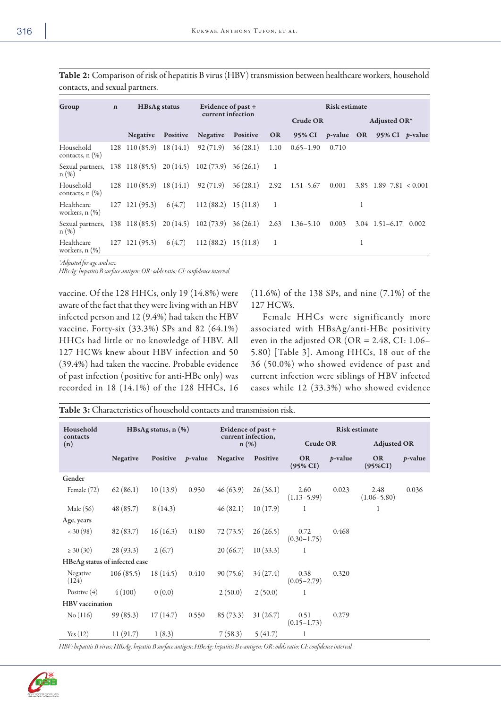| ۰.<br>× | $\sim$ |
|---------|--------|
|         |        |

| Group                                                                                 | $\mathbf n$ | <b>HBsAg status</b>      |          |                                                  | Evidence of past $+$ |           | <b>Risk estimate</b>                                              |       |   |                                                  |  |  |
|---------------------------------------------------------------------------------------|-------------|--------------------------|----------|--------------------------------------------------|----------------------|-----------|-------------------------------------------------------------------|-------|---|--------------------------------------------------|--|--|
|                                                                                       |             |                          |          |                                                  | current infection    |           | Crude OR                                                          |       |   | Adjusted OR*                                     |  |  |
|                                                                                       |             | <b>Negative</b>          | Positive | Negative                                         | Positive             | <b>OR</b> |                                                                   |       |   | 95% CI <i>p</i> -value OR 95% CI <i>p</i> -value |  |  |
| Household<br>contacts, $n$ $(\%)$                                                     |             |                          |          | 128 110 (85.9) 18 (14.1) 92 (71.9) 36 (28.1)     |                      | 1.10      | $0.65 - 1.90$                                                     | 0.710 |   |                                                  |  |  |
| Sexual partners, 138 118 (85.5) 20 (14.5) 102 (73.9) 36 (26.1)<br>n(%)                |             |                          |          |                                                  |                      |           |                                                                   |       |   |                                                  |  |  |
| Household<br>contacts, $n$ $(\%)$                                                     |             |                          |          |                                                  |                      |           | 128 110 (85.9) 18 (14.1) 92 (71.9) 36 (28.1) 2.92 1.51-5.67 0.001 |       |   | $3.85$ $1.89 - 7.81 < 0.001$                     |  |  |
| Healthcare<br>workers, $n$ $(\%)$                                                     |             |                          |          | $127$ 121 (95.3) $6(4.7)$ 112 (88.2) 15 (11.8) 1 |                      |           |                                                                   |       |   |                                                  |  |  |
| Sexual partners, 138 118 (85.5) 20 (14.5) 102 (73.9) 36 (26.1) 2.63 1.36–5.10<br>n(%) |             |                          |          |                                                  |                      |           |                                                                   | 0.003 |   | $3.04$ 1.51-6.17 0.002                           |  |  |
| Healthcare<br>workers, $n$ $(\%)$                                                     |             | $127$ 121 (95.3) 6 (4.7) |          | $112(88.2)$ 15 (11.8)                            |                      |           |                                                                   |       | 1 |                                                  |  |  |

Table 2: Comparison of risk of hepatitis B virus (HBV) transmission between healthcare workers, household contacts, and sexual partners.

*\*Adjusted for age and sex.*

*HBsAg: hepatitis B surface antigen; OR: odds ratio; CI: confidence interval.*

vaccine. Of the 128 HHCs, only 19 (14.8%) were aware of the fact that they were living with an HBV infected person and 12 (9.4%) had taken the HBV vaccine. Forty-six (33.3%) SPs and 82 (64.1%) HHCs had little or no knowledge of HBV. All 127 HCWs knew about HBV infection and 50 (39.4%) had taken the vaccine. Probable evidence of past infection (positive for anti-HBc only) was recorded in 18 (14.1%) of the 128 HHCs, 16

(11.6%) of the 138 SPs, and nine (7.1%) of the 127 HCWs.

Female HHCs were significantly more associated with HBsAg/anti-HBc positivity even in the adjusted OR (OR =  $2.48$ , CI: 1.06– 5.80) [Table 3]. Among HHCs, 18 out of the 36 (50.0%) who showed evidence of past and current infection were siblings of HBV infected cases while 12 (33.3%) who showed evidence

Table 3: Characteristics of household contacts and transmission risk.

| Household<br>HBsAg status, $n$ $(\%)$ |                 |          | Evidence of past $+$ |                               | <b>Risk estimate</b> |                          |                 |                         |                 |
|---------------------------------------|-----------------|----------|----------------------|-------------------------------|----------------------|--------------------------|-----------------|-------------------------|-----------------|
| contacts<br>(n)                       |                 |          |                      | current infection,<br>$n(\%)$ |                      | Crude OR                 |                 | <b>Adjusted OR</b>      |                 |
|                                       | <b>Negative</b> | Positive | <i>p</i> -value      | <b>Negative</b>               | Positive             | <b>OR</b><br>$(95\% CI)$ | <i>p</i> -value | <b>OR</b><br>$(95\%CI)$ | <i>p</i> -value |
| Gender                                |                 |          |                      |                               |                      |                          |                 |                         |                 |
| Female $(72)$                         | 62(86.1)        | 10(13.9) | 0.950                | 46(63.9)                      | 26(36.1)             | 2.60<br>$(1.13 - 5.99)$  | 0.023           | 2.48<br>$(1.06 - 5.80)$ | 0.036           |
| Male (56)                             | 48(85.7)        | 8(14.3)  |                      | 46(82.1)                      | 10(17.9)             | 1                        |                 | 1                       |                 |
| Age, years                            |                 |          |                      |                               |                      |                          |                 |                         |                 |
| < 30(98)                              | 82(83.7)        | 16(16.3) | 0.180                | 72 (73.5)                     | 26(26.5)             | 0.72<br>$(0.30 - 1.75)$  | 0.468           |                         |                 |
| $\geq 30(30)$                         | 28(93.3)        | 2(6.7)   |                      | 20(66.7)                      | 10(33.3)             | -1                       |                 |                         |                 |
| HBeAg status of infected case         |                 |          |                      |                               |                      |                          |                 |                         |                 |
| Negative<br>(124)                     | 106(85.5)       | 18(14.5) | 0.410                | 90(75.6)                      | 34(27.4)             | 0.38<br>$(0.05 - 2.79)$  | 0.320           |                         |                 |
| Positive $(4)$                        | 4(100)          | 0(0.0)   |                      | 2(50.0)                       | 2(50.0)              | -1                       |                 |                         |                 |
| <b>HBV</b> vaccination                |                 |          |                      |                               |                      |                          |                 |                         |                 |
| No(116)                               | 99(85.3)        | 17(14.7) | 0.550                | 85 (73.3)                     | 31(26.7)             | 0.51<br>$(0.15 - 1.73)$  | 0.279           |                         |                 |
| Yes(12)                               | 11(91.7)        | 1(8.3)   |                      | 7(58.3)                       | 5(41.7)              | 1                        |                 |                         |                 |

*HBV: hepatitis B virus; HBsAg: hepatits B surface antigen; HBeAg: hepatitis B e-antigen; OR: odds ratio; CI: confidence interval.*

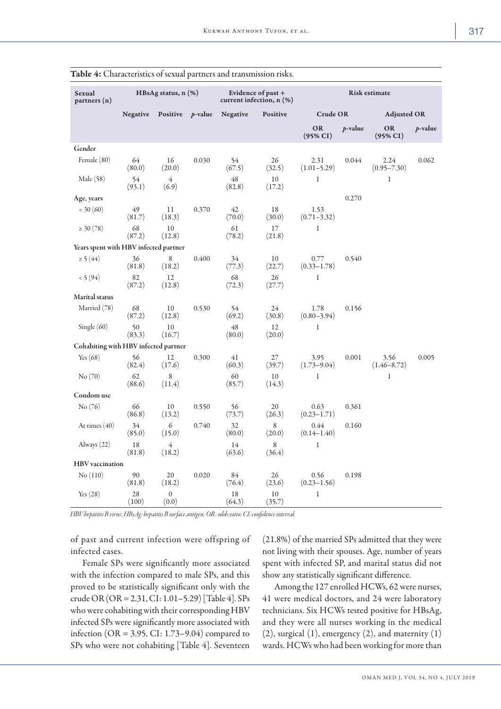| Sexual<br>partners (n)                | HBsAg status, n (%) |                          |       | Evidence of past +<br>current infection, $n$ $(\%)$ |                  | <b>Risk estimate</b>    |            |                           |            |
|---------------------------------------|---------------------|--------------------------|-------|-----------------------------------------------------|------------------|-------------------------|------------|---------------------------|------------|
|                                       |                     |                          |       |                                                     |                  |                         |            |                           |            |
|                                       | <b>Negative</b>     | Positive $p$ -value      |       | <b>Negative</b>                                     | Positive         | <b>Crude OR</b>         |            | <b>Adjusted OR</b>        |            |
|                                       |                     |                          |       |                                                     |                  | <b>OR</b><br>(95% CI)   | $p$ -value | OR<br>$(95\% \text{ CI})$ | $p$ -value |
| Gender                                |                     |                          |       |                                                     |                  |                         |            |                           |            |
| Female (80)                           | 64<br>(80.0)        | 16<br>(20.0)             | 0.030 | 54<br>(67.5)                                        | 26<br>(32.5)     | 2.31<br>$(1.01 - 5.29)$ | 0.044      | 2.24<br>$(0.95 - 7.30)$   | 0.062      |
| Male (58)                             | 54<br>(93.1)        | $\overline{4}$<br>(6.9)  |       | 48<br>(82.8)                                        | $10\,$<br>(17.2) | $\,1$                   |            | $\mathbf{1}$              |            |
| Age, years                            |                     |                          |       |                                                     |                  |                         | 0.270      |                           |            |
| < 30(60)                              | 49<br>(81.7)        | 11<br>(18.3)             | 0.370 | 42<br>(70.0)                                        | 18<br>(30.0)     | 1.53<br>$(0.71 - 3.32)$ |            |                           |            |
| $\geq 30(78)$                         | 68<br>(87.2)        | 10<br>(12.8)             |       | 61<br>(78.2)                                        | 17<br>(21.8)     | $\mathbf{1}$            |            |                           |            |
| Years spent with HBV infected partner |                     |                          |       |                                                     |                  |                         |            |                           |            |
| $\geq$ 5 (44)                         | 36<br>(81.8)        | 8<br>(18.2)              | 0.400 | 34<br>(77.3)                                        | 10<br>(22.7)     | 0.77<br>$(0.33 - 1.78)$ | 0.540      |                           |            |
| < 5(94)                               | 82<br>(87.2)        | 12<br>(12.8)             |       | 68<br>(72.3)                                        | 26<br>(27.7)     | $\,1$                   |            |                           |            |
| <b>Marital</b> status                 |                     |                          |       |                                                     |                  |                         |            |                           |            |
| Married (78)                          | 68<br>(87.2)        | 10<br>(12.8)             | 0.530 | 54<br>(69.2)                                        | 24<br>(30.8)     | 1.78<br>$(0.80 - 3.94)$ | 0.156      |                           |            |
| Single $(60)$                         | 50<br>(83.3)        | 10<br>(16.7)             |       | 48<br>(80.0)                                        | 12<br>(20.0)     | $\mathbf{1}$            |            |                           |            |
| Cohabiting with HBV infected partner  |                     |                          |       |                                                     |                  |                         |            |                           |            |
| Yes $(68)$                            | 56<br>(82.4)        | 12<br>(17.6)             | 0.300 | 41<br>(60.3)                                        | 27<br>(39.7)     | 3.95<br>$(1.73 - 9.04)$ | 0.001      | 3.56<br>$(1.46 - 8.72)$   | 0.005      |
| No(70)                                | 62<br>(88.6)        | 8<br>(11.4)              |       | 60<br>(85.7)                                        | 10<br>(14.3)     | $\mathbf{1}$            |            | $\mathbf{1}$              |            |
| Condom use                            |                     |                          |       |                                                     |                  |                         |            |                           |            |
| No (76)                               | 66<br>(86.8)        | 10<br>(13.2)             | 0.550 | 56<br>(73.7)                                        | 20<br>(26.3)     | 0.63<br>$(0.23 - 1.71)$ | 0.361      |                           |            |
| At times $(40)$                       | 34<br>(85.0)        | $\epsilon$<br>(15.0)     | 0.740 | 32<br>(80.0)                                        | 8<br>(20.0)      | 0.44<br>$(0.14 - 1.40)$ | 0.160      |                           |            |
| Always $(22)$                         | 18<br>(81.8)        | $\overline{4}$<br>(18.2) |       | 14<br>(63.6)                                        | 8<br>(36.4)      | $\mathbf{1}$            |            |                           |            |
| <b>HBV</b> vaccination                |                     |                          |       |                                                     |                  |                         |            |                           |            |
| No(110)                               | 90<br>(81.8)        | 20<br>(18.2)             | 0.020 | 84<br>(76.4)                                        | 26<br>(23.6)     | 0.56<br>$(0.23 - 1.56)$ | 0.198      |                           |            |
| Yes $(28)$                            | 28<br>(100)         | $\mathbf{0}$<br>(0.0)    |       | 18<br>(64.3)                                        | $10\,$<br>(35.7) | $\,1$                   |            |                           |            |

Table 4: Characteristics of sexual partners and transmission risks.

*HBV:hepatitis B virus; HBsAg: hepatitis B surface antigen; OR: odds ratio; CI: confidence interval.*

of past and current infection were offspring of infected cases.

Female SPs were significantly more associated with the infection compared to male SPs, and this proved to be statistically significant only with the crude OR (OR = 2.31, CI: 1.01–5.29) [Table 4]. SPs who were cohabiting with their corresponding HBV infected SPs were significantly more associated with infection (OR = 3.95, CI: 1.73–9.04) compared to SPs who were not cohabiting [Table 4]. Seventeen (21.8%) of the married SPs admitted that they were not living with their spouses. Age, number of years spent with infected SP, and marital status did not show any statistically significant difference.

Among the 127 enrolled HCWs, 62 were nurses, 41 were medical doctors, and 24 were laboratory technicians. Six HCWs tested positive for HBsAg, and they were all nurses working in the medical  $(2)$ , surgical  $(1)$ , emergency  $(2)$ , and maternity  $(1)$ wards. HCWs who had been working for more than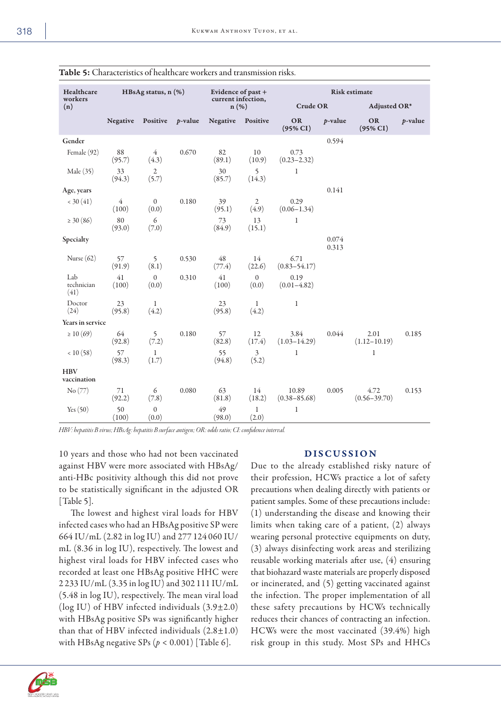| HBsAg status, n (%)<br>Healthcare<br>workers |                         | Evidence of past +<br>current infection, |                 | <b>Risk estimate</b> |                         |                           |                |                          |            |
|----------------------------------------------|-------------------------|------------------------------------------|-----------------|----------------------|-------------------------|---------------------------|----------------|--------------------------|------------|
| (n)                                          |                         |                                          |                 | $n(\%)$              |                         | <b>Crude OR</b>           |                | Adjusted OR*             |            |
|                                              | <b>Negative</b>         | Positive                                 | <i>p</i> -value | <b>Negative</b>      | Positive                | <b>OR</b><br>(95% CI)     | $p$ -value     | <b>OR</b><br>$(95\% CI)$ | $p$ -value |
| Gender                                       |                         |                                          |                 |                      |                         |                           | 0.594          |                          |            |
| Female (92)                                  | $88\,$<br>(95.7)        | $\overline{4}$<br>(4.3)                  | 0.670           | 82<br>(89.1)         | 10<br>(10.9)            | 0.73<br>$(0.23 - 2.32)$   |                |                          |            |
| Male (35)                                    | 33<br>(94.3)            | $\overline{2}$<br>(5.7)                  |                 | 30<br>(85.7)         | 5<br>(14.3)             | $\mathbf{1}$              |                |                          |            |
| Age, years                                   |                         |                                          |                 |                      |                         |                           | 0.141          |                          |            |
| < 30(41)                                     | $\overline{4}$<br>(100) | $\mathbf{0}$<br>(0.0)                    | 0.180           | 39<br>(95.1)         | $\mathfrak{2}$<br>(4.9) | 0.29<br>$(0.06 - 1.34)$   |                |                          |            |
| $\geq 30(86)$                                | 80<br>(93.0)            | $\epsilon$<br>(7.0)                      |                 | 73<br>(84.9)         | 13<br>(15.1)            | $\mathbf{1}$              |                |                          |            |
| Specialty                                    |                         |                                          |                 |                      |                         |                           | 0.074<br>0.313 |                          |            |
| Nurse $(62)$                                 | 57<br>(91.9)            | 5<br>(8.1)                               | 0.530           | 48<br>(77.4)         | 14<br>(22.6)            | 6.71<br>$(0.83 - 54.17)$  |                |                          |            |
| Lab<br>technician<br>(41)                    | 41<br>(100)             | $\boldsymbol{0}$<br>(0.0)                | 0.310           | 41<br>(100)          | $\mathbf{0}$<br>(0.0)   | 0.19<br>$(0.01 - 4.82)$   |                |                          |            |
| Doctor<br>(24)                               | 23<br>(95.8)            | $\mathbf{1}$<br>(4.2)                    |                 | 23<br>(95.8)         | $\mathbf{1}$<br>(4.2)   | $\mathbf{1}$              |                |                          |            |
| Years in service                             |                         |                                          |                 |                      |                         |                           |                |                          |            |
| $\geq 10(69)$                                | 64<br>(92.8)            | 5<br>(7.2)                               | 0.180           | 57<br>(82.8)         | 12<br>(17.4)            | 3.84<br>$(1.03 - 14.29)$  | 0.044          | 2.01<br>$(1.12 - 10.19)$ | 0.185      |
| < 10(58)                                     | 57<br>(98.3)            | $\mathbf{1}$<br>(1.7)                    |                 | 55<br>(94.8)         | 3<br>(5.2)              | 1                         |                | $\mathbf{1}$             |            |
| <b>HBV</b><br>vaccination                    |                         |                                          |                 |                      |                         |                           |                |                          |            |
| No (77)                                      | 71<br>(92.2)            | 6<br>(7.8)                               | 0.080           | 63<br>(81.8)         | 14<br>(18.2)            | 10.89<br>$(0.38 - 85.68)$ | 0.005          | 4.72<br>$(0.56 - 39.70)$ | 0.153      |
| Yes $(50)$                                   | 50<br>(100)             | $\boldsymbol{0}$<br>(0.0)                |                 | 49<br>(98.0)         | $\mathbf{1}$<br>(2.0)   | 1                         |                |                          |            |

Table 5: Characteristics of healthcare workers and transmission risks.

*HBV: hepatitis B virus; HBsAg: hepatitis B surface antigen; OR: odds ratio; CI: confidence interval.*

10 years and those who had not been vaccinated against HBV were more associated with HBsAg/ anti-HBc positivity although this did not prove to be statistically significant in the adjusted OR [Table 5].

The lowest and highest viral loads for HBV infected cases who had an HBsAg positive SP were 664 IU/mL (2.82 in log IU) and 277 124 060 IU/ mL (8.36 in log IU), respectively. The lowest and highest viral loads for HBV infected cases who recorded at least one HBsAg positive HHC were 2 233 IU/mL (3.35 in log IU) and 302 111 IU/mL (5.48 in log IU), respectively. The mean viral load (log IU) of HBV infected individuals (3.9±2.0) with HBsAg positive SPs was significantly higher than that of HBV infected individuals  $(2.8 \pm 1.0)$ with HBsAg negative SPs  $(p < 0.001)$  [Table 6].

#### DISCUSSION

Due to the already established risky nature of their profession, HCWs practice a lot of safety precautions when dealing directly with patients or patient samples. Some of these precautions include: (1) understanding the disease and knowing their limits when taking care of a patient, (2) always wearing personal protective equipments on duty, (3) always disinfecting work areas and sterilizing reusable working materials after use, (4) ensuring that biohazard waste materials are properly disposed or incinerated, and (5) getting vaccinated against the infection. The proper implementation of all these safety precautions by HCWs technically reduces their chances of contracting an infection. HCWs were the most vaccinated (39.4%) high risk group in this study. Most SPs and HHCs

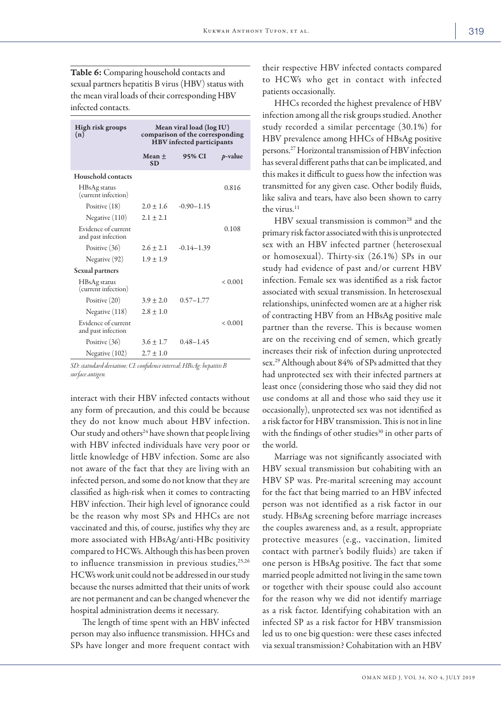Table 6: Comparing household contacts and sexual partners hepatitis B virus (HBV) status with the mean viral loads of their corresponding HBV infected contacts.

| High risk groups<br>(n)                   | Mean viral load (log IU)<br>comparison of the corresponding<br>HBV infected participants |                |             |  |  |  |  |
|-------------------------------------------|------------------------------------------------------------------------------------------|----------------|-------------|--|--|--|--|
|                                           | Mean +<br><b>SD</b>                                                                      | 95% CI         | $p$ -value  |  |  |  |  |
| <b>Household contacts</b>                 |                                                                                          |                |             |  |  |  |  |
| HBsAg status<br>(current infection)       |                                                                                          |                | 0.816       |  |  |  |  |
| Positive $(18)$                           | $2.0 + 1.6$                                                                              | $-0.90 - 1.15$ |             |  |  |  |  |
| Negative $(110)$                          | $2.1 \pm 2.1$                                                                            |                |             |  |  |  |  |
| Evidence of current<br>and past infection |                                                                                          |                | 0.108       |  |  |  |  |
| Positive (36)                             | $2.6 + 2.1$                                                                              | $-0.14 - 1.39$ |             |  |  |  |  |
| Negative (92)                             | $1.9 \pm 1.9$                                                                            |                |             |  |  |  |  |
| <b>Sexual partners</b>                    |                                                                                          |                |             |  |  |  |  |
| HBsAg status<br>(current infection)       |                                                                                          |                | < 0.001     |  |  |  |  |
| Positive (20)                             | $3.9 \pm 2.0$                                                                            | $0.57 - 1.77$  |             |  |  |  |  |
| Negative (118)                            | $2.8 \pm 1.0$                                                                            |                |             |  |  |  |  |
| Evidence of current<br>and past infection |                                                                                          |                | ${}< 0.001$ |  |  |  |  |
| Positive (36)                             | $3.6 \pm 1.7$                                                                            | $0.48 - 1.45$  |             |  |  |  |  |
| Negative (102)                            | $2.7 \pm 1.0$                                                                            |                |             |  |  |  |  |

*SD: statndard deviation; CI: confidence interval; HBsAg: hepatitis B surface antigen.* 

interact with their HBV infected contacts without any form of precaution, and this could be because they do not know much about HBV infection. Our study and others<sup>24</sup> have shown that people living with HBV infected individuals have very poor or little knowledge of HBV infection. Some are also not aware of the fact that they are living with an infected person, and some do not know that they are classified as high-risk when it comes to contracting HBV infection. Their high level of ignorance could be the reason why most SPs and HHCs are not vaccinated and this, of course, justifies why they are more associated with HBsAg/anti-HBc positivity compared to HCWs. Although this has been proven to influence transmission in previous studies,  $25,26$ HCWs work unit could not be addressed in our study because the nurses admitted that their units of work are not permanent and can be changed whenever the hospital administration deems it necessary.

The length of time spent with an HBV infected person may also influence transmission. HHCs and SPs have longer and more frequent contact with their respective HBV infected contacts compared to HCWs who get in contact with infected patients occasionally.

HHCs recorded the highest prevalence of HBV infection among all the risk groups studied. Another study recorded a similar percentage (30.1%) for HBV prevalence among HHCs of HBsAg positive persons.27 Horizontal transmission of HBV infection has several different paths that can be implicated, and this makes it difficult to guess how the infection was transmitted for any given case. Other bodily fluids, like saliva and tears, have also been shown to carry the virus.11

HBV sexual transmission is common<sup>28</sup> and the primary risk factor associated with this is unprotected sex with an HBV infected partner (heterosexual or homosexual). Thirty-six (26.1%) SPs in our study had evidence of past and/or current HBV infection. Female sex was identified as a risk factor associated with sexual transmission. In heterosexual relationships, uninfected women are at a higher risk of contracting HBV from an HBsAg positive male partner than the reverse. This is because women are on the receiving end of semen, which greatly increases their risk of infection during unprotected sex.29 Although about 84% of SPs admitted that they had unprotected sex with their infected partners at least once (considering those who said they did not use condoms at all and those who said they use it occasionally), unprotected sex was not identified as a risk factor for HBV transmission. This is not in line with the findings of other studies<sup>30</sup> in other parts of the world.

Marriage was not significantly associated with HBV sexual transmission but cohabiting with an HBV SP was. Pre-marital screening may account for the fact that being married to an HBV infected person was not identified as a risk factor in our study. HBsAg screening before marriage increases the couples awareness and, as a result, appropriate protective measures (e.g., vaccination, limited contact with partner's bodily fluids) are taken if one person is HBsAg positive. The fact that some married people admitted not living in the same town or together with their spouse could also account for the reason why we did not identify marriage as a risk factor. Identifying cohabitation with an infected SP as a risk factor for HBV transmission led us to one big question: were these cases infected via sexual transmission? Cohabitation with an HBV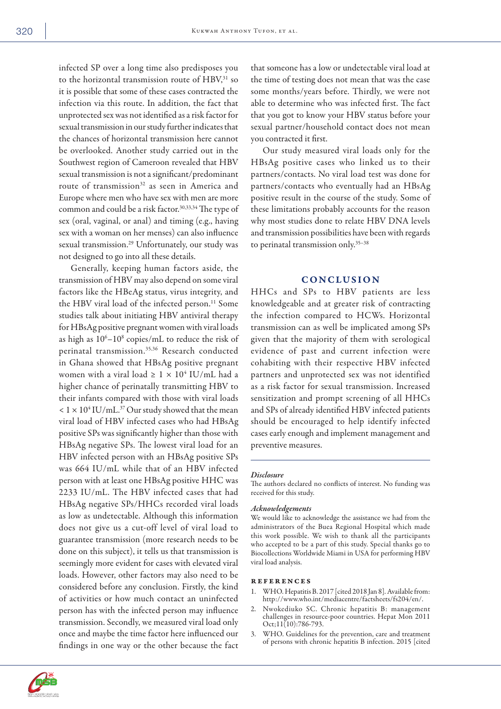infected SP over a long time also predisposes you to the horizontal transmission route of HBV,<sup>31</sup> so it is possible that some of these cases contracted the infection via this route. In addition, the fact that unprotected sex was not identified as a risk factor for sexual transmission in our study further indicates that the chances of horizontal transmission here cannot be overlooked. Another study carried out in the Southwest region of Cameroon revealed that HBV sexual transmission is not a significant/predominant route of transmission<sup>32</sup> as seen in America and Europe where men who have sex with men are more common and could be a risk factor.30,33,34 The type of sex (oral, vaginal, or anal) and timing (e.g., having sex with a woman on her menses) can also influence sexual transmission.<sup>29</sup> Unfortunately, our study was not designed to go into all these details.

Generally, keeping human factors aside, the transmission of HBV may also depend on some viral factors like the HBeAg status, virus integrity, and the HBV viral load of the infected person.<sup>11</sup> Some studies talk about initiating HBV antiviral therapy for HBsAg positive pregnant women with viral loads as high as  $10^6 - 10^8$  copies/mL to reduce the risk of perinatal transmission.35,36 Research conducted in Ghana showed that HBsAg positive pregnant women with a viral load  $\geq 1 \times 10^4$  IU/mL had a higher chance of perinatally transmitting HBV to their infants compared with those with viral loads  $< 1 \times 10^4$  IU/mL.<sup>37</sup> Our study showed that the mean viral load of HBV infected cases who had HBsAg positive SPs was significantly higher than those with HBsAg negative SPs. The lowest viral load for an HBV infected person with an HBsAg positive SPs was 664 IU/mL while that of an HBV infected person with at least one HBsAg positive HHC was 2233 IU/mL. The HBV infected cases that had HBsAg negative SPs/HHCs recorded viral loads as low as undetectable. Although this information does not give us a cut-off level of viral load to guarantee transmission (more research needs to be done on this subject), it tells us that transmission is seemingly more evident for cases with elevated viral loads. However, other factors may also need to be considered before any conclusion. Firstly, the kind of activities or how much contact an uninfected person has with the infected person may influence transmission. Secondly, we measured viral load only once and maybe the time factor here influenced our findings in one way or the other because the fact

that someone has a low or undetectable viral load at the time of testing does not mean that was the case some months/years before. Thirdly, we were not able to determine who was infected first. The fact that you got to know your HBV status before your sexual partner/household contact does not mean you contracted it first.

Our study measured viral loads only for the HBsAg positive cases who linked us to their partners/contacts. No viral load test was done for partners/contacts who eventually had an HBsAg positive result in the course of the study. Some of these limitations probably accounts for the reason why most studies done to relate HBV DNA levels and transmission possibilities have been with regards to perinatal transmission only.35–38

### **CONCLUSION**

HHCs and SPs to HBV patients are less knowledgeable and at greater risk of contracting the infection compared to HCWs. Horizontal transmission can as well be implicated among SPs given that the majority of them with serological evidence of past and current infection were cohabiting with their respective HBV infected partners and unprotected sex was not identified as a risk factor for sexual transmission. Increased sensitization and prompt screening of all HHCs and SPs of already identified HBV infected patients should be encouraged to help identify infected cases early enough and implement management and preventive measures.

#### *Disclosure*

The authors declared no conflicts of interest. No funding was received for this study.

#### *Acknowledgements*

We would like to acknowledge the assistance we had from the administrators of the Buea Regional Hospital which made this work possible. We wish to thank all the participants who accepted to be a part of this study. Special thanks go to Biocollections Worldwide Miami in USA for performing HBV viral load analysis.

#### references

- 1. WHO. Hepatitis B. 2017 [cited 2018 Jan 8]. Available from: http://www.who.int/mediacentre/factsheets/fs204/en/.
- 2. Nwokediuko SC. Chronic hepatitis B: management challenges in resource-poor countries. Hepat Mon 2011  $Oct;11(10):786-793.$
- 3. WHO. Guidelines for the prevention, care and treatment of persons with chronic hepatitis B infection. 2015 [cited